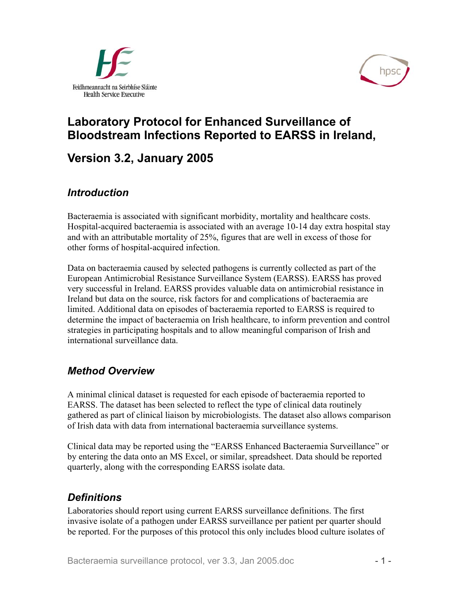



# **Laboratory Protocol for Enhanced Surveillance of Bloodstream Infections Reported to EARSS in Ireland,**

# **Version 3.2, January 2005**

## *Introduction*

Bacteraemia is associated with significant morbidity, mortality and healthcare costs. Hospital-acquired bacteraemia is associated with an average 10-14 day extra hospital stay and with an attributable mortality of 25%, figures that are well in excess of those for other forms of hospital-acquired infection.

Data on bacteraemia caused by selected pathogens is currently collected as part of the European Antimicrobial Resistance Surveillance System (EARSS). EARSS has proved very successful in Ireland. EARSS provides valuable data on antimicrobial resistance in Ireland but data on the source, risk factors for and complications of bacteraemia are limited. Additional data on episodes of bacteraemia reported to EARSS is required to determine the impact of bacteraemia on Irish healthcare, to inform prevention and control strategies in participating hospitals and to allow meaningful comparison of Irish and international surveillance data.

## *Method Overview*

A minimal clinical dataset is requested for each episode of bacteraemia reported to EARSS. The dataset has been selected to reflect the type of clinical data routinely gathered as part of clinical liaison by microbiologists. The dataset also allows comparison of Irish data with data from international bacteraemia surveillance systems.

Clinical data may be reported using the "EARSS Enhanced Bacteraemia Surveillance" or by entering the data onto an MS Excel, or similar, spreadsheet. Data should be reported quarterly, along with the corresponding EARSS isolate data.

## *Definitions*

Laboratories should report using current EARSS surveillance definitions. The first invasive isolate of a pathogen under EARSS surveillance per patient per quarter should be reported. For the purposes of this protocol this only includes blood culture isolates of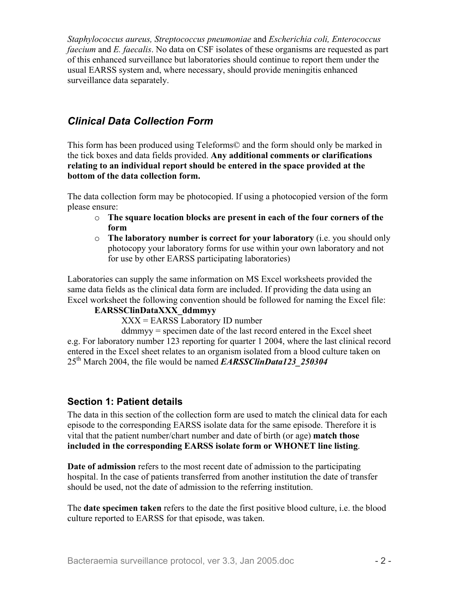*Staphylococcus aureus, Streptococcus pneumoniae* and *Escherichia coli, Enterococcus faecium* and *E. faecalis*. No data on CSF isolates of these organisms are requested as part of this enhanced surveillance but laboratories should continue to report them under the usual EARSS system and, where necessary, should provide meningitis enhanced surveillance data separately.

## *Clinical Data Collection Form*

This form has been produced using Teleforms© and the form should only be marked in the tick boxes and data fields provided. **Any additional comments or clarifications relating to an individual report should be entered in the space provided at the bottom of the data collection form.**

The data collection form may be photocopied. If using a photocopied version of the form please ensure:

- **The square location blocks are present in each of the four corners of the**  o **form**
- o **The laboratory number is correct for your laboratory** (i.e. you should only photocopy your laboratory forms for use within your own laboratory and not for use by other EARSS participating laboratories)

Laboratories can supply the same information on MS Excel worksheets provided the same data fields as the clinical data form are included. If providing the data using an Excel worksheet the following convention should be followed for naming the Excel file:

### **EARSSClinDataXXX\_ddmmyy**

XXX = EARSS Laboratory ID number

ddmmyy = specimen date of the last record entered in the Excel sheet e.g. For laboratory number 123 reporting for quarter 1 2004, where the last clinical record entered in the Excel sheet relates to an organism isolated from a blood culture taken on 25th March 2004, the file would be named *EARSSClinData123\_250304* 

### **Section 1: Patient details**

The data in this section of the collection form are used to match the clinical data for each episode to the corresponding EARSS isolate data for the same episode. Therefore it is vital that the patient number/chart number and date of birth (or age) **match those included in the corresponding EARSS isolate form or WHONET line listing**.

**Date of admission** refers to the most recent date of admission to the participating hospital. In the case of patients transferred from another institution the date of transfer should be used, not the date of admission to the referring institution.

The **date specimen taken** refers to the date the first positive blood culture, i.e. the blood culture reported to EARSS for that episode, was taken.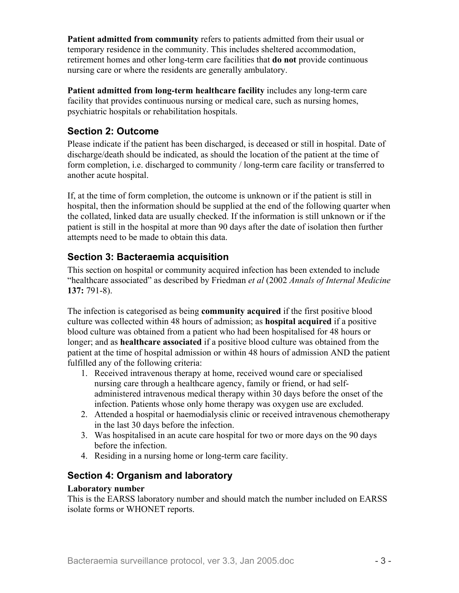**Patient admitted from community** refers to patients admitted from their usual or temporary residence in the community. This includes sheltered accommodation, retirement homes and other long-term care facilities that **do not** provide continuous nursing care or where the residents are generally ambulatory.

**Patient admitted from long-term healthcare facility** includes any long-term care facility that provides continuous nursing or medical care, such as nursing homes, psychiatric hospitals or rehabilitation hospitals.

## **Section 2: Outcome**

Please indicate if the patient has been discharged, is deceased or still in hospital. Date of discharge/death should be indicated, as should the location of the patient at the time of form completion, i.e. discharged to community / long-term care facility or transferred to another acute hospital.

If, at the time of form completion, the outcome is unknown or if the patient is still in hospital, then the information should be supplied at the end of the following quarter when the collated, linked data are usually checked. If the information is still unknown or if the patient is still in the hospital at more than 90 days after the date of isolation then further attempts need to be made to obtain this data.

## **Section 3: Bacteraemia acquisition**

This section on hospital or community acquired infection has been extended to include "healthcare associated" as described by Friedman *et al* (2002 *Annals of Internal Medicine* **137:** 791-8).

The infection is categorised as being **community acquired** if the first positive blood culture was collected within 48 hours of admission; as **hospital acquired** if a positive blood culture was obtained from a patient who had been hospitalised for 48 hours or longer; and as **healthcare associated** if a positive blood culture was obtained from the patient at the time of hospital admission or within 48 hours of admission AND the patient fulfilled any of the following criteria:

- 1. Received intravenous therapy at home, received wound care or specialised nursing care through a healthcare agency, family or friend, or had selfadministered intravenous medical therapy within 30 days before the onset of the infection. Patients whose only home therapy was oxygen use are excluded.
- 2. Attended a hospital or haemodialysis clinic or received intravenous chemotherapy in the last 30 days before the infection.
- 3. Was hospitalised in an acute care hospital for two or more days on the 90 days before the infection.
- 4. Residing in a nursing home or long-term care facility.

### **Section 4: Organism and laboratory**

#### **Laboratory number**

This is the EARSS laboratory number and should match the number included on EARSS isolate forms or WHONET reports.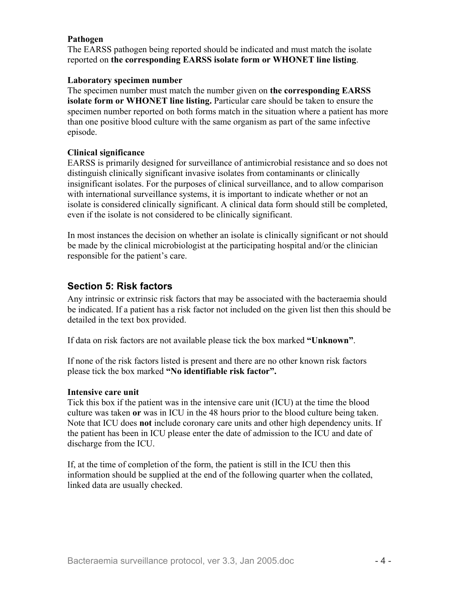#### **Pathogen**

The EARSS pathogen being reported should be indicated and must match the isolate reported on **the corresponding EARSS isolate form or WHONET line listing**.

#### **Laboratory specimen number**

The specimen number must match the number given on **the corresponding EARSS isolate form or WHONET line listing.** Particular care should be taken to ensure the specimen number reported on both forms match in the situation where a patient has more than one positive blood culture with the same organism as part of the same infective episode.

#### **Clinical significance**

EARSS is primarily designed for surveillance of antimicrobial resistance and so does not distinguish clinically significant invasive isolates from contaminants or clinically insignificant isolates. For the purposes of clinical surveillance, and to allow comparison with international surveillance systems, it is important to indicate whether or not an isolate is considered clinically significant. A clinical data form should still be completed, even if the isolate is not considered to be clinically significant.

In most instances the decision on whether an isolate is clinically significant or not should be made by the clinical microbiologist at the participating hospital and/or the clinician responsible for the patient's care.

### **Section 5: Risk factors**

Any intrinsic or extrinsic risk factors that may be associated with the bacteraemia should be indicated. If a patient has a risk factor not included on the given list then this should be detailed in the text box provided.

If data on risk factors are not available please tick the box marked **"Unknown"**.

If none of the risk factors listed is present and there are no other known risk factors please tick the box marked **"No identifiable risk factor".** 

#### **Intensive care unit**

Tick this box if the patient was in the intensive care unit (ICU) at the time the blood culture was taken **or** was in ICU in the 48 hours prior to the blood culture being taken. Note that ICU does **not** include coronary care units and other high dependency units. If the patient has been in ICU please enter the date of admission to the ICU and date of discharge from the ICU.

If, at the time of completion of the form, the patient is still in the ICU then this information should be supplied at the end of the following quarter when the collated, linked data are usually checked.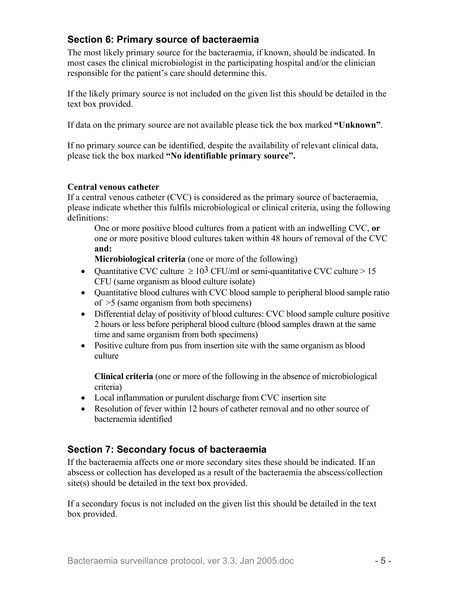## **Section 6: Primary source of bacteraemia**

The most likely primary source for the bacteraemia, if known, should be indicated. In most cases the clinical microbiologist in the participating hospital and/or the clinician responsible for the patient's care should determine this.

If the likely primary source is not included on the given list this should be detailed in the text box provided.

If data on the primary source are not available please tick the box marked **"Unknown"**.

If no primary source can be identified, despite the availability of relevant clinical data, please tick the box marked **"No identifiable primary source".** 

#### **Central venous catheter**

If a central venous catheter (CVC) is considered as the primary source of bacteraemia, please indicate whether this fulfils microbiological or clinical criteria, using the following definitions:

One or more positive blood cultures from a patient with an indwelling CVC, **or** one or more positive blood cultures taken within 48 hours of removal of the CVC **and:** 

**Microbiological criteria** (one or more of the following)

- Ouantitative CVC culture  $\geq 10^3$  CFU/ml or semi-quantitative CVC culture  $> 15$ CFU (same organism as blood culture isolate)
- Ouantitative blood cultures with CVC blood sample to peripheral blood sample ratio of >5 (same organism from both specimens)
- Differential delay of positivity of blood cultures: CVC blood sample culture positive 2 hours or less before peripheral blood culture (blood samples drawn at the same time and same organism from both specimens)
- Positive culture from pus from insertion site with the same organism as blood culture

**Clinical criteria** (one or more of the following in the absence of microbiological criteria)

- Local inflammation or purulent discharge from CVC insertion site
- Resolution of fever within 12 hours of catheter removal and no other source of bacteraemia identified

### **Section 7: Secondary focus of bacteraemia**

If the bacteraemia affects one or more secondary sites these should be indicated. If an abscess or collection has developed as a result of the bacteraemia the abscess/collection site(s) should be detailed in the text box provided.

If a secondary focus is not included on the given list this should be detailed in the text box provided.